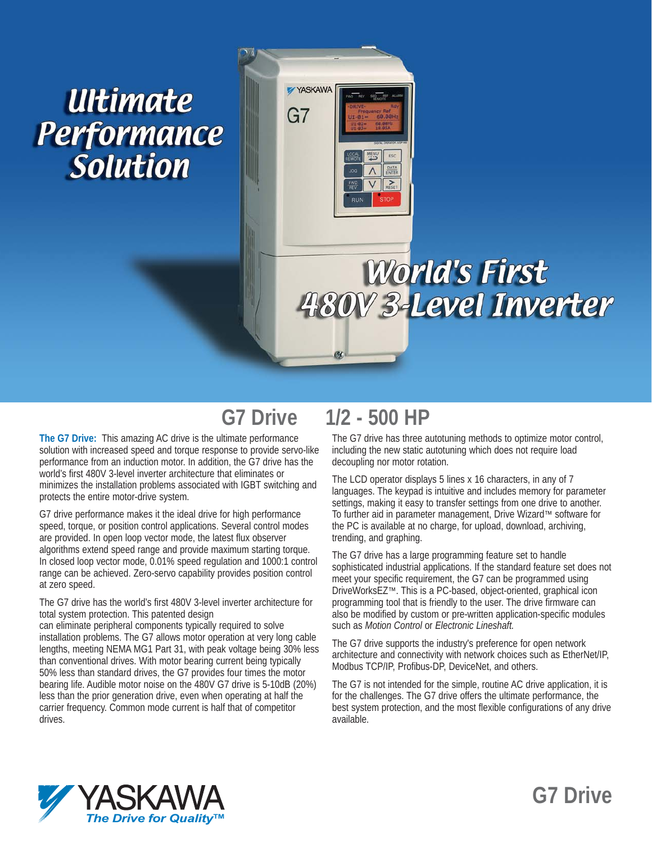# Ultimate **Performance** Solution



# **World's First 180V 3-Level Inverter**

# **G7 Drive 1/2 - 500 HP**

**The G7 Drive:** This amazing AC drive is the ultimate performance solution with increased speed and torque response to provide servo-like performance from an induction motor. In addition, the G7 drive has the world's first 480V 3-level inverter architecture that eliminates or minimizes the installation problems associated with IGBT switching and protects the entire motor-drive system.

G7 drive performance makes it the ideal drive for high performance speed, torque, or position control applications. Several control modes are provided. In open loop vector mode, the latest flux observer algorithms extend speed range and provide maximum starting torque. In closed loop vector mode, 0.01% speed regulation and 1000:1 control range can be achieved. Zero-servo capability provides position control at zero speed.

The G7 drive has the world's first 480V 3-level inverter architecture for total system protection. This patented design

can eliminate peripheral components typically required to solve installation problems. The G7 allows motor operation at very long cable lengths, meeting NEMA MG1 Part 31, with peak voltage being 30% less than conventional drives. With motor bearing current being typically 50% less than standard drives, the G7 provides four times the motor bearing life. Audible motor noise on the 480V G7 drive is 5-10dB (20%) less than the prior generation drive, even when operating at half the carrier frequency. Common mode current is half that of competitor drives.

The G7 drive has three autotuning methods to optimize motor control, including the new static autotuning which does not require load decoupling nor motor rotation.

The LCD operator displays 5 lines x 16 characters, in any of 7 languages. The keypad is intuitive and includes memory for parameter settings, making it easy to transfer settings from one drive to another. To further aid in parameter management, Drive Wizard™ software for the PC is available at no charge, for upload, download, archiving, trending, and graphing.

The G7 drive has a large programming feature set to handle sophisticated industrial applications. If the standard feature set does not meet your specific requirement, the G7 can be programmed using DriveWorksEZ™. This is a PC-based, object-oriented, graphical icon programming tool that is friendly to the user. The drive firmware can also be modified by custom or pre-written application-specific modules such as *Motion Control* or *Electronic Lineshaft.*

The G7 drive supports the industry's preference for open network architecture and connectivity with network choices such as EtherNet/IP, Modbus TCP/IP, Profibus-DP, DeviceNet, and others.

The G7 is not intended for the simple, routine AC drive application, it is for the challenges. The G7 drive offers the ultimate performance, the best system protection, and the most flexible configurations of any drive available.



# **G7 Drive**